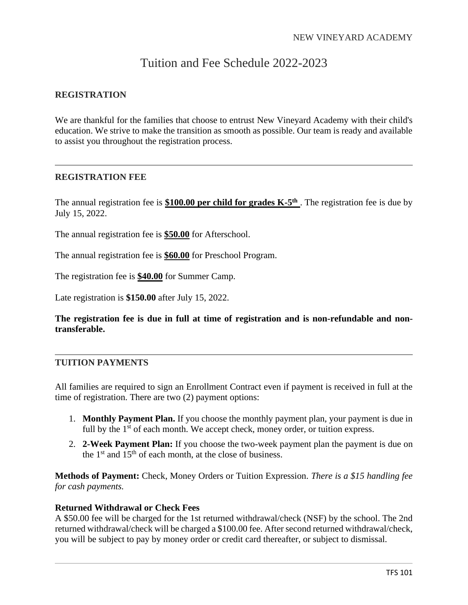# Tuition and Fee Schedule 2022-2023

# **REGISTRATION**

We are thankful for the families that choose to entrust New Vineyard Academy with their child's education. We strive to make the transition as smooth as possible. Our team is ready and available to assist you throughout the registration process.

# **REGISTRATION FEE**

The annual registration fee is **\$100.00 per child for grades K-5<sup>th</sup>**. The registration fee is due by July 15, 2022.

The annual registration fee is **\$50.00** for Afterschool.

The annual registration fee is **\$60.00** for Preschool Program.

The registration fee is **\$40.00** for Summer Camp.

Late registration is **\$150.00** after July 15, 2022.

**The registration fee is due in full at time of registration and is non-refundable and nontransferable.**

# **TUITION PAYMENTS**

All families are required to sign an Enrollment Contract even if payment is received in full at the time of registration. There are two (2) payment options:

- 1. **Monthly Payment Plan.** If you choose the monthly payment plan, your payment is due in full by the 1<sup>st</sup> of each month. We accept check, money order, or tuition express.
- 2. **2-Week Payment Plan:** If you choose the two-week payment plan the payment is due on the  $1<sup>st</sup>$  and  $15<sup>th</sup>$  of each month, at the close of business.

**Methods of Payment:** Check, Money Orders or Tuition Expression. *There is a \$15 handling fee for cash payments.*

#### **Returned Withdrawal or Check Fees**

A \$50.00 fee will be charged for the 1st returned withdrawal/check (NSF) by the school. The 2nd returned withdrawal/check will be charged a \$100.00 fee. After second returned withdrawal/check, you will be subject to pay by money order or credit card thereafter, or subject to dismissal.